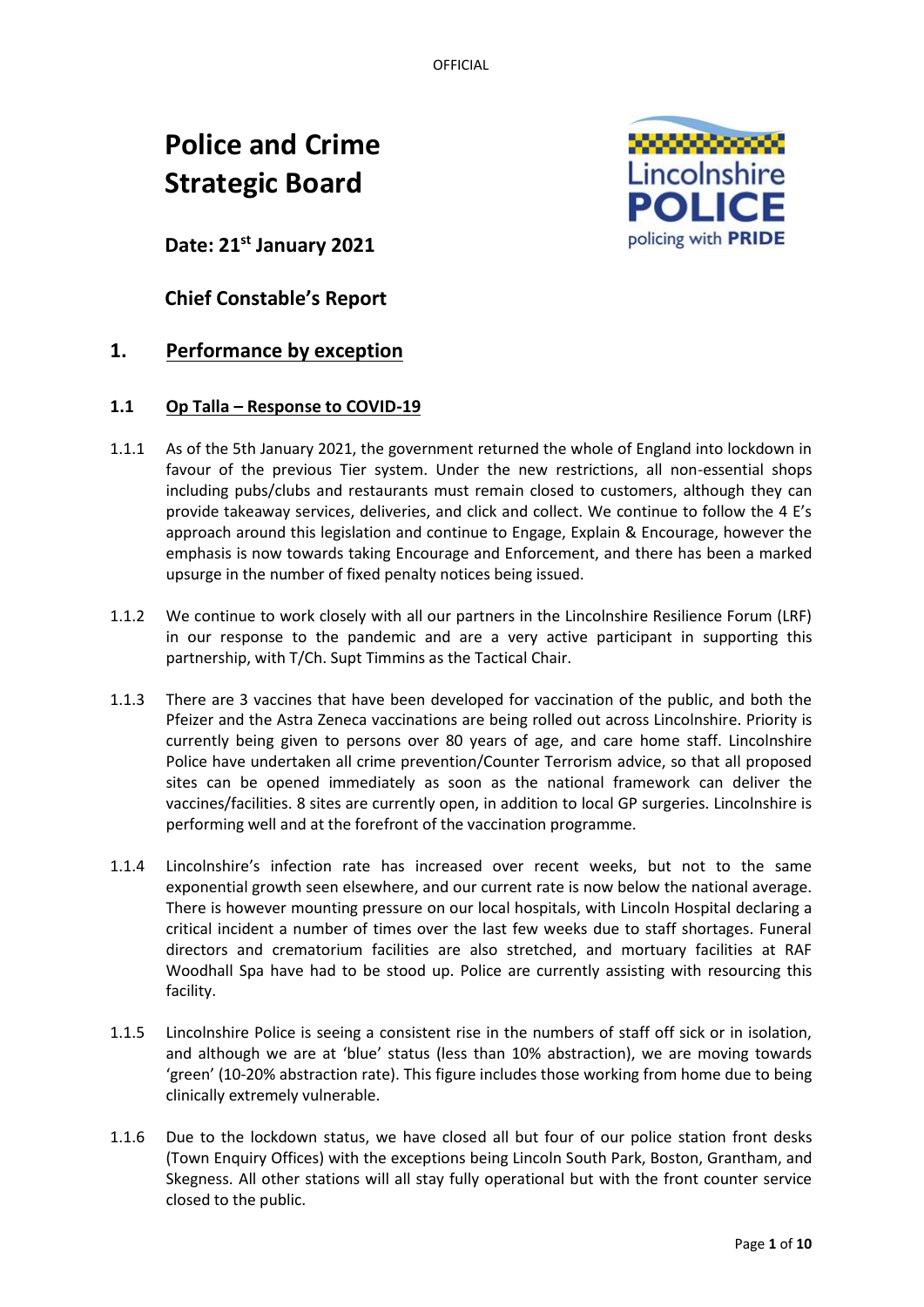OFFICIAL

# **Police and Crime Strategic Board**



**Date: 21st January 2021**

**Chief Constable's Report**

# **1. Performance by exception**

## **1.1 Op Talla – Response to COVID-19**

- 1.1.1 As of the 5th January 2021, the government returned the whole of England into lockdown in favour of the previous Tier system. Under the new restrictions, all non-essential shops including pubs/clubs and restaurants must remain closed to customers, although they can provide takeaway services, deliveries, and click and collect. We continue to follow the 4 E's approach around this legislation and continue to Engage, Explain & Encourage, however the emphasis is now towards taking Encourage and Enforcement, and there has been a marked upsurge in the number of fixed penalty notices being issued.
- 1.1.2 We continue to work closely with all our partners in the Lincolnshire Resilience Forum (LRF) in our response to the pandemic and are a very active participant in supporting this partnership, with T/Ch. Supt Timmins as the Tactical Chair.
- 1.1.3 There are 3 vaccines that have been developed for vaccination of the public, and both the Pfeizer and the Astra Zeneca vaccinations are being rolled out across Lincolnshire. Priority is currently being given to persons over 80 years of age, and care home staff. Lincolnshire Police have undertaken all crime prevention/Counter Terrorism advice, so that all proposed sites can be opened immediately as soon as the national framework can deliver the vaccines/facilities. 8 sites are currently open, in addition to local GP surgeries. Lincolnshire is performing well and at the forefront of the vaccination programme.
- 1.1.4 Lincolnshire's infection rate has increased over recent weeks, but not to the same exponential growth seen elsewhere, and our current rate is now below the national average. There is however mounting pressure on our local hospitals, with Lincoln Hospital declaring a critical incident a number of times over the last few weeks due to staff shortages. Funeral directors and crematorium facilities are also stretched, and mortuary facilities at RAF Woodhall Spa have had to be stood up. Police are currently assisting with resourcing this facility.
- 1.1.5 Lincolnshire Police is seeing a consistent rise in the numbers of staff off sick or in isolation, and although we are at 'blue' status (less than 10% abstraction), we are moving towards 'green' (10-20% abstraction rate). This figure includes those working from home due to being clinically extremely vulnerable.
- 1.1.6 Due to the lockdown status, we have closed all but four of our police station front desks (Town Enquiry Offices) with the exceptions being Lincoln South Park, Boston, Grantham, and Skegness. All other stations will all stay fully operational but with the front counter service closed to the public.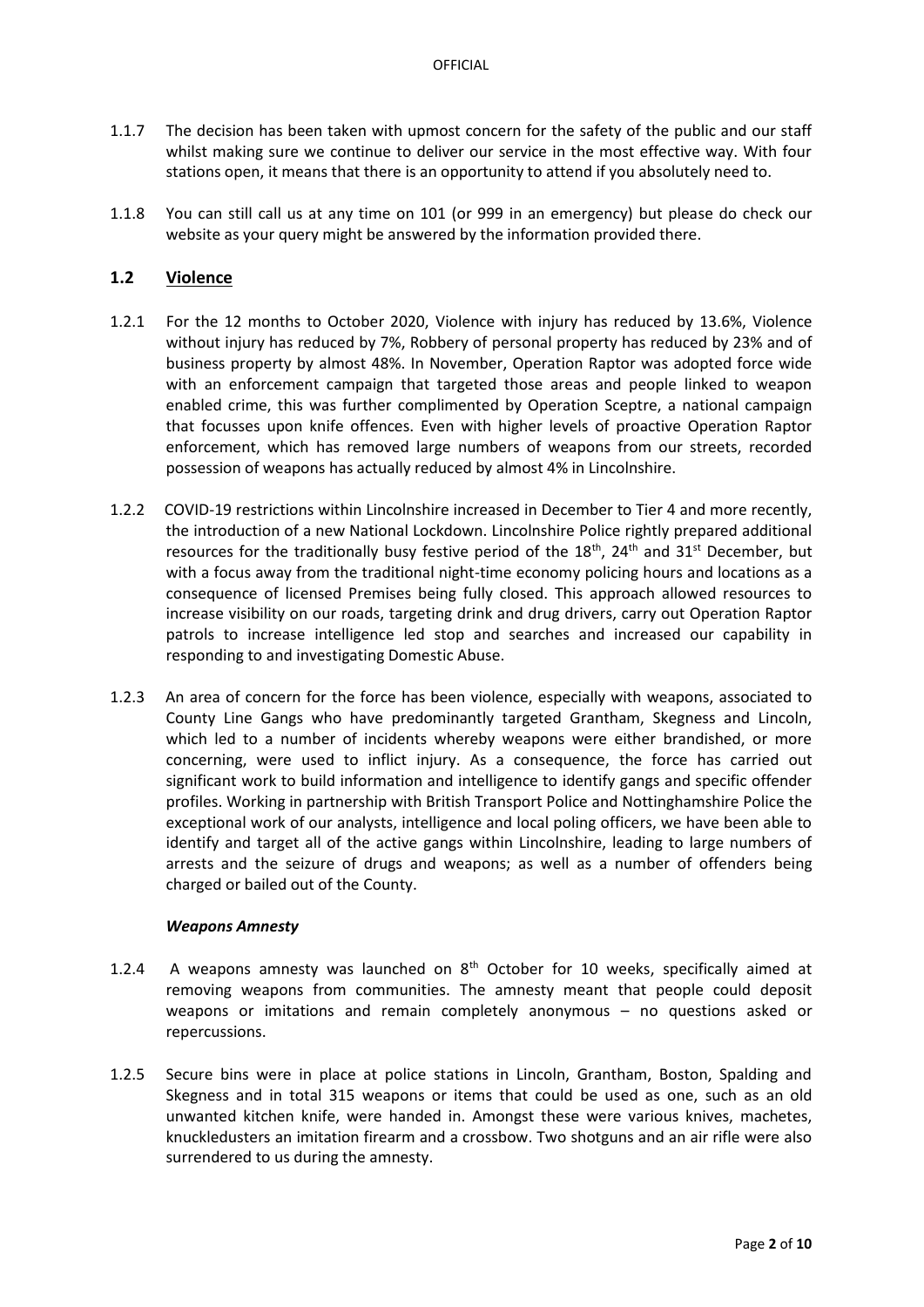- 1.1.7 The decision has been taken with upmost concern for the safety of the public and our staff whilst making sure we continue to deliver our service in the most effective way. With four stations open, it means that there is an opportunity to attend if you absolutely need to.
- 1.1.8 You can still call us at any time on 101 (or 999 in an emergency) but please do check our website as your query might be answered by the information provided there.

#### **1.2 Violence**

- 1.2.1 For the 12 months to October 2020, Violence with injury has reduced by 13.6%, Violence without injury has reduced by 7%, Robbery of personal property has reduced by 23% and of business property by almost 48%. In November, Operation Raptor was adopted force wide with an enforcement campaign that targeted those areas and people linked to weapon enabled crime, this was further complimented by Operation Sceptre, a national campaign that focusses upon knife offences. Even with higher levels of proactive Operation Raptor enforcement, which has removed large numbers of weapons from our streets, recorded possession of weapons has actually reduced by almost 4% in Lincolnshire.
- 1.2.2 COVID-19 restrictions within Lincolnshire increased in December to Tier 4 and more recently, the introduction of a new National Lockdown. Lincolnshire Police rightly prepared additional resources for the traditionally busy festive period of the  $18<sup>th</sup>$ , 24<sup>th</sup> and 31<sup>st</sup> December, but with a focus away from the traditional night-time economy policing hours and locations as a consequence of licensed Premises being fully closed. This approach allowed resources to increase visibility on our roads, targeting drink and drug drivers, carry out Operation Raptor patrols to increase intelligence led stop and searches and increased our capability in responding to and investigating Domestic Abuse.
- 1.2.3 An area of concern for the force has been violence, especially with weapons, associated to County Line Gangs who have predominantly targeted Grantham, Skegness and Lincoln, which led to a number of incidents whereby weapons were either brandished, or more concerning, were used to inflict injury. As a consequence, the force has carried out significant work to build information and intelligence to identify gangs and specific offender profiles. Working in partnership with British Transport Police and Nottinghamshire Police the exceptional work of our analysts, intelligence and local poling officers, we have been able to identify and target all of the active gangs within Lincolnshire, leading to large numbers of arrests and the seizure of drugs and weapons; as well as a number of offenders being charged or bailed out of the County.

#### *Weapons Amnesty*

- 1.2.4 A weapons amnesty was launched on  $8<sup>th</sup>$  October for 10 weeks, specifically aimed at removing weapons from communities. The amnesty meant that people could deposit weapons or imitations and remain completely anonymous – no questions asked or repercussions.
- 1.2.5 Secure bins were in place at police stations in Lincoln, Grantham, Boston, Spalding and Skegness and in total 315 weapons or items that could be used as one, such as an old unwanted kitchen knife, were handed in. Amongst these were various knives, machetes, knuckledusters an imitation firearm and a crossbow. Two shotguns and an air rifle were also surrendered to us during the amnesty.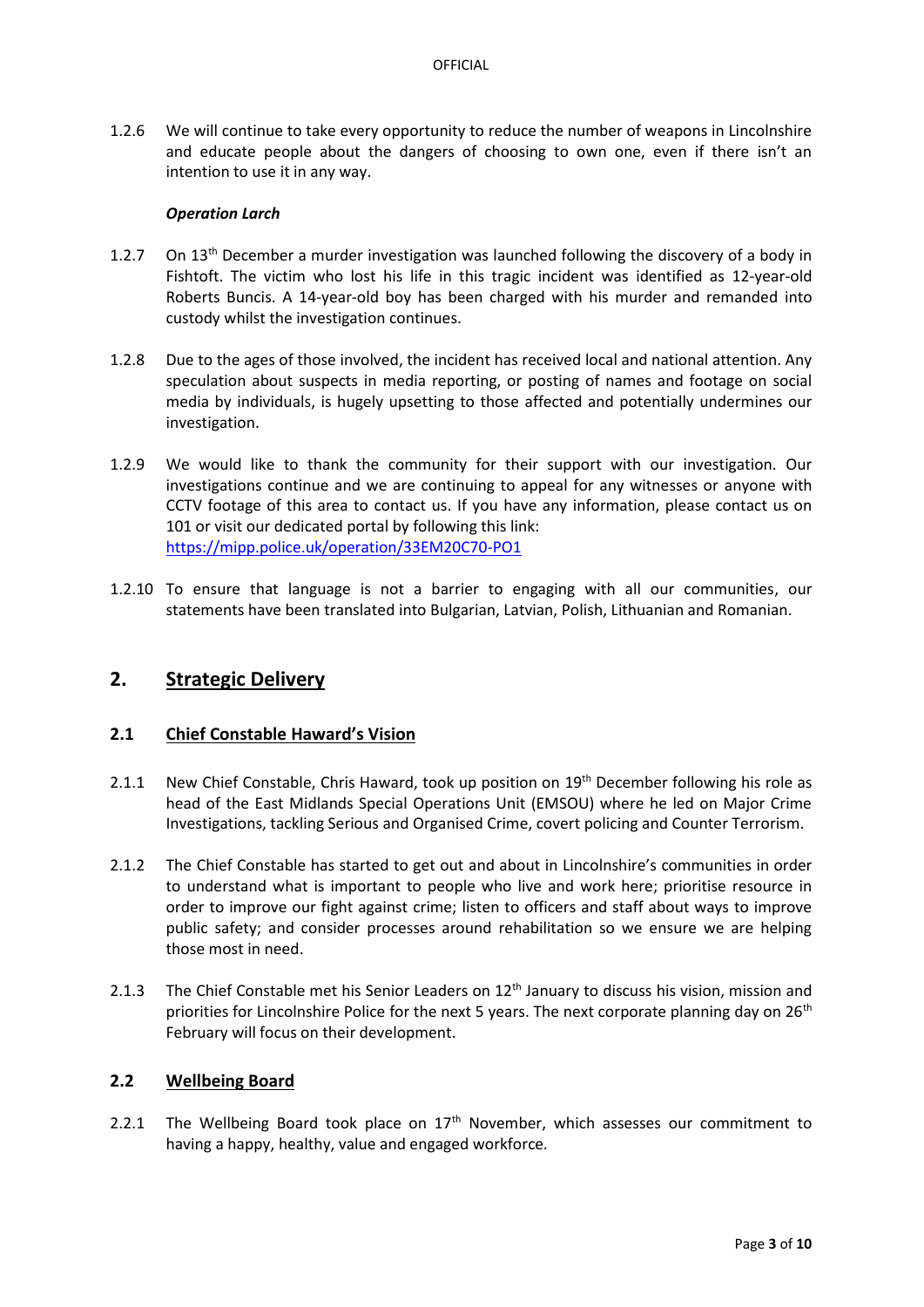1.2.6 We will continue to take every opportunity to reduce the number of weapons in Lincolnshire and educate people about the dangers of choosing to own one, even if there isn't an intention to use it in any way.

#### *Operation Larch*

- 1.2.7 On  $13<sup>th</sup>$  December a murder investigation was launched following the discovery of a body in Fishtoft. The victim who lost his life in this tragic incident was identified as 12-year-old Roberts Buncis. A 14-year-old boy has been charged with his murder and remanded into custody whilst the investigation continues.
- 1.2.8 Due to the ages of those involved, the incident has received local and national attention. Any speculation about suspects in media reporting, or posting of names and footage on social media by individuals, is hugely upsetting to those affected and potentially undermines our investigation.
- 1.2.9 We would like to thank the community for their support with our investigation. Our investigations continue and we are continuing to appeal for any witnesses or anyone with CCTV footage of this area to contact us. If you have any information, please contact us on 101 or visit our dedicated portal by following this link: <https://mipp.police.uk/operation/33EM20C70-PO1>
- 1.2.10 To ensure that language is not a barrier to engaging with all our communities, our statements have been translated into Bulgarian, Latvian, Polish, Lithuanian and Romanian.

## **2. Strategic Delivery**

#### **2.1 Chief Constable Haward's Vision**

- 2.1.1 New Chief Constable, Chris Haward, took up position on 19<sup>th</sup> December following his role as head of the East Midlands Special Operations Unit (EMSOU) where he led on Major Crime Investigations, tackling Serious and Organised Crime, covert policing and Counter Terrorism.
- 2.1.2 The Chief Constable has started to get out and about in Lincolnshire's communities in order to understand what is important to people who live and work here; prioritise resource in order to improve our fight against crime; listen to officers and staff about ways to improve public safety; and consider processes around rehabilitation so we ensure we are helping those most in need.
- 2.1.3 The Chief Constable met his Senior Leaders on 12<sup>th</sup> January to discuss his vision, mission and priorities for Lincolnshire Police for the next 5 years. The next corporate planning day on  $26<sup>th</sup>$ February will focus on their development.

#### **2.2 Wellbeing Board**

2.2.1 The Wellbeing Board took place on  $17<sup>th</sup>$  November, which assesses our commitment to having a happy, healthy, value and engaged workforce.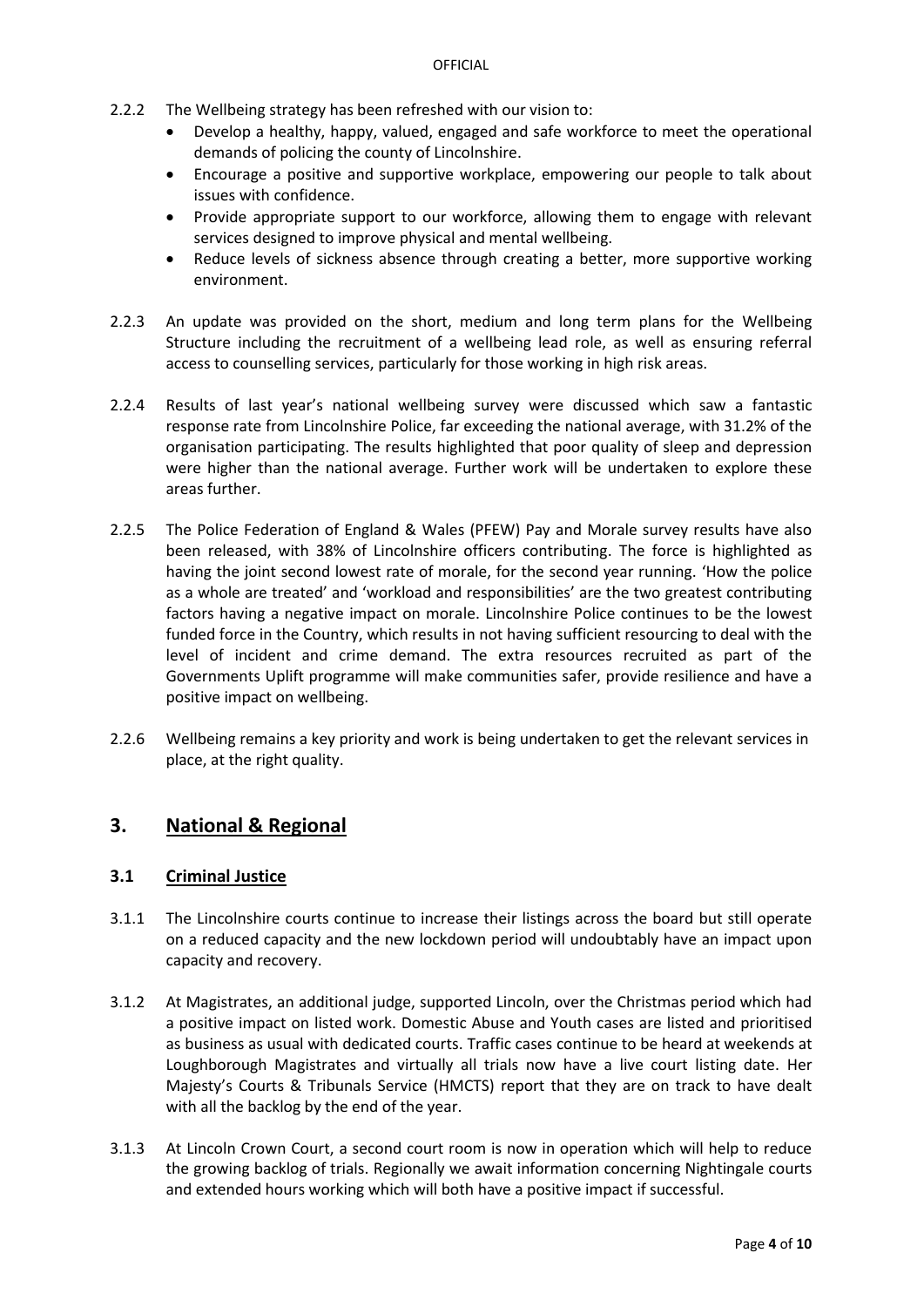- 2.2.2 The Wellbeing strategy has been refreshed with our vision to:
	- Develop a healthy, happy, valued, engaged and safe workforce to meet the operational demands of policing the county of Lincolnshire.
	- Encourage a positive and supportive workplace, empowering our people to talk about issues with confidence.
	- Provide appropriate support to our workforce, allowing them to engage with relevant services designed to improve physical and mental wellbeing.
	- Reduce levels of sickness absence through creating a better, more supportive working environment.
- 2.2.3 An update was provided on the short, medium and long term plans for the Wellbeing Structure including the recruitment of a wellbeing lead role, as well as ensuring referral access to counselling services, particularly for those working in high risk areas.
- 2.2.4 Results of last year's national wellbeing survey were discussed which saw a fantastic response rate from Lincolnshire Police, far exceeding the national average, with 31.2% of the organisation participating. The results highlighted that poor quality of sleep and depression were higher than the national average. Further work will be undertaken to explore these areas further.
- 2.2.5 The Police Federation of England & Wales (PFEW) Pay and Morale survey results have also been released, with 38% of Lincolnshire officers contributing. The force is highlighted as having the joint second lowest rate of morale, for the second year running. 'How the police as a whole are treated' and 'workload and responsibilities' are the two greatest contributing factors having a negative impact on morale. Lincolnshire Police continues to be the lowest funded force in the Country, which results in not having sufficient resourcing to deal with the level of incident and crime demand. The extra resources recruited as part of the Governments Uplift programme will make communities safer, provide resilience and have a positive impact on wellbeing.
- 2.2.6 Wellbeing remains a key priority and work is being undertaken to get the relevant services in place, at the right quality.

# **3. National & Regional**

## **3.1 Criminal Justice**

- 3.1.1 The Lincolnshire courts continue to increase their listings across the board but still operate on a reduced capacity and the new lockdown period will undoubtably have an impact upon capacity and recovery.
- 3.1.2 At Magistrates, an additional judge, supported Lincoln, over the Christmas period which had a positive impact on listed work. Domestic Abuse and Youth cases are listed and prioritised as business as usual with dedicated courts. Traffic cases continue to be heard at weekends at Loughborough Magistrates and virtually all trials now have a live court listing date. Her Majesty's Courts & Tribunals Service (HMCTS) report that they are on track to have dealt with all the backlog by the end of the year.
- 3.1.3 At Lincoln Crown Court, a second court room is now in operation which will help to reduce the growing backlog of trials. Regionally we await information concerning Nightingale courts and extended hours working which will both have a positive impact if successful.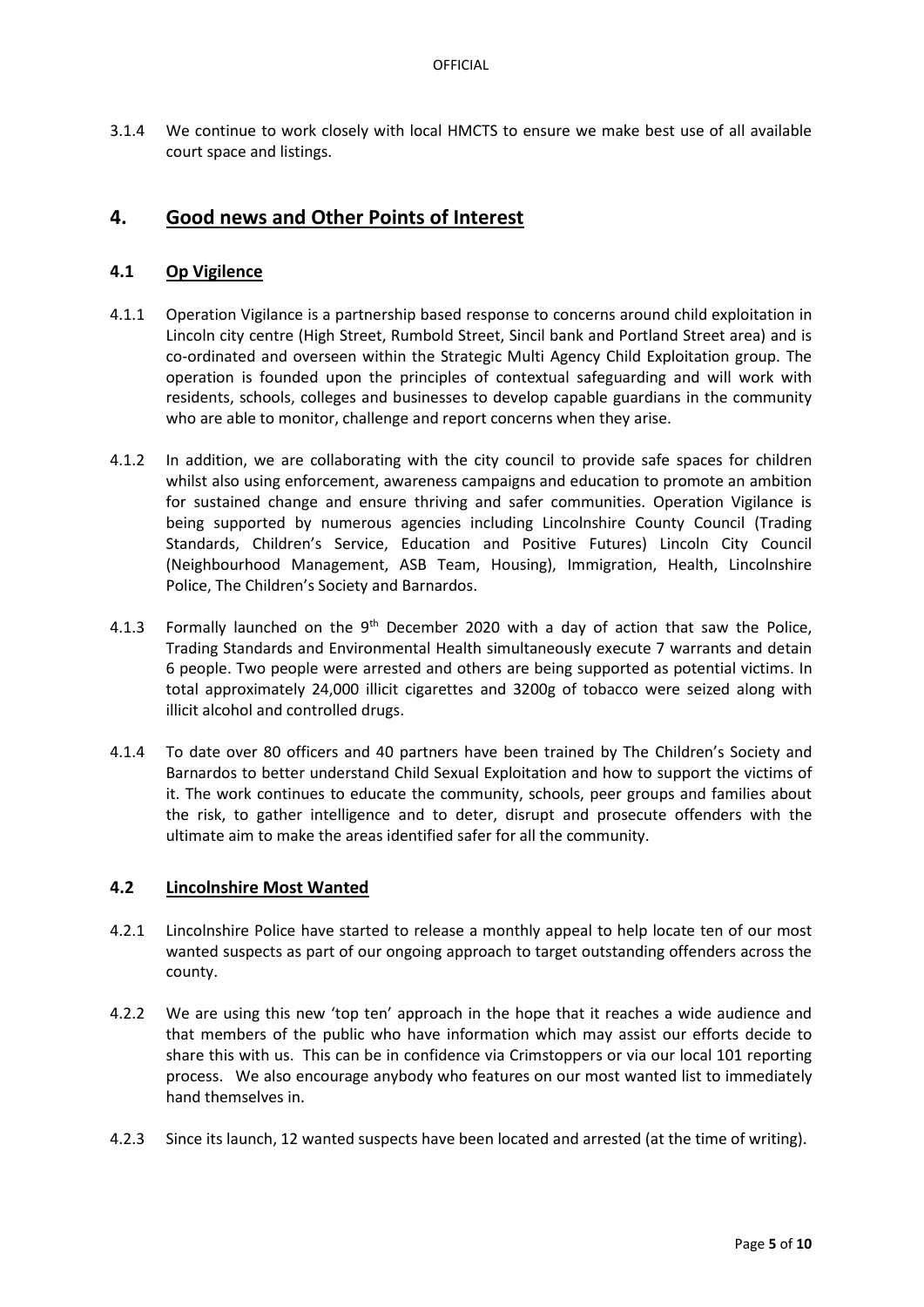3.1.4 We continue to work closely with local HMCTS to ensure we make best use of all available court space and listings.

# **4. Good news and Other Points of Interest**

### **4.1 Op Vigilence**

- 4.1.1 Operation Vigilance is a partnership based response to concerns around child exploitation in Lincoln city centre (High Street, Rumbold Street, Sincil bank and Portland Street area) and is co-ordinated and overseen within the Strategic Multi Agency Child Exploitation group. The operation is founded upon the principles of contextual safeguarding and will work with residents, schools, colleges and businesses to develop capable guardians in the community who are able to monitor, challenge and report concerns when they arise.
- 4.1.2 In addition, we are collaborating with the city council to provide safe spaces for children whilst also using enforcement, awareness campaigns and education to promote an ambition for sustained change and ensure thriving and safer communities. Operation Vigilance is being supported by numerous agencies including Lincolnshire County Council (Trading Standards, Children's Service, Education and Positive Futures) Lincoln City Council (Neighbourhood Management, ASB Team, Housing), Immigration, Health, Lincolnshire Police, The Children's Society and Barnardos.
- 4.1.3 Formally launched on the  $9<sup>th</sup>$  December 2020 with a day of action that saw the Police, Trading Standards and Environmental Health simultaneously execute 7 warrants and detain 6 people. Two people were arrested and others are being supported as potential victims. In total approximately 24,000 illicit cigarettes and 3200g of tobacco were seized along with illicit alcohol and controlled drugs.
- 4.1.4 To date over 80 officers and 40 partners have been trained by The Children's Society and Barnardos to better understand Child Sexual Exploitation and how to support the victims of it. The work continues to educate the community, schools, peer groups and families about the risk, to gather intelligence and to deter, disrupt and prosecute offenders with the ultimate aim to make the areas identified safer for all the community.

#### **4.2 Lincolnshire Most Wanted**

- 4.2.1 Lincolnshire Police have started to release a monthly appeal to help locate ten of our most wanted suspects as part of our ongoing approach to target outstanding offenders across the county.
- 4.2.2 We are using this new 'top ten' approach in the hope that it reaches a wide audience and that members of the public who have information which may assist our efforts decide to share this with us. This can be in confidence via Crimstoppers or via our local 101 reporting process. We also encourage anybody who features on our most wanted list to immediately hand themselves in.
- 4.2.3 Since its launch, 12 wanted suspects have been located and arrested (at the time of writing).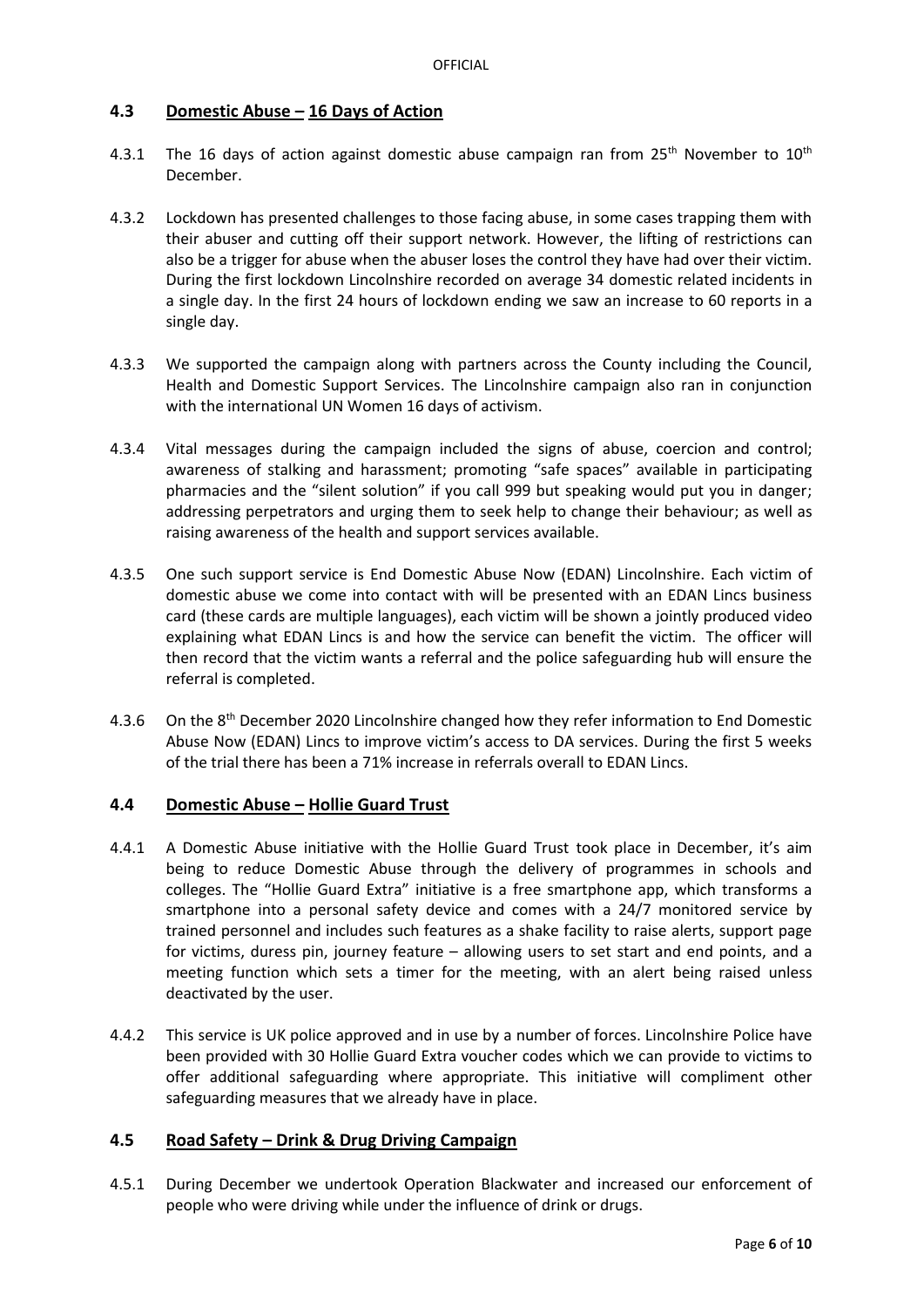#### **4.3 Domestic Abuse – 16 Days of Action**

- 4.3.1 The 16 days of action against domestic abuse campaign ran from  $25<sup>th</sup>$  November to  $10<sup>th</sup>$ December.
- 4.3.2 Lockdown has presented challenges to those facing abuse, in some cases trapping them with their abuser and cutting off their support network. However, the lifting of restrictions can also be a trigger for abuse when the abuser loses the control they have had over their victim. During the first lockdown Lincolnshire recorded on average 34 domestic related incidents in a single day. In the first 24 hours of lockdown ending we saw an increase to 60 reports in a single day.
- 4.3.3 We supported the campaign along with partners across the County including the Council, Health and Domestic Support Services. The Lincolnshire campaign also ran in conjunction with the international [UN Women 16 days of activism.](https://www.unwomen.org/en)
- 4.3.4 Vital messages during the campaign included the signs of abuse, coercion and control; awareness of stalking and harassment; promoting "safe spaces" available in participating pharmacies and the "silent solution" if you call 999 but speaking would put you in danger; addressing perpetrators and urging them to seek help to change their behaviour; as well as raising awareness of the health and support services available.
- 4.3.5 One such support service is End Domestic Abuse Now (EDAN) Lincolnshire. Each victim of domestic abuse we come into contact with will be presented with an EDAN Lincs business card (these cards are multiple languages), each victim will be shown a jointly produced video explaining what EDAN Lincs is and how the service can benefit the victim. The officer will then record that the victim wants a referral and the police safeguarding hub will ensure the referral is completed.
- 4.3.6 On the 8<sup>th</sup> December 2020 Lincolnshire changed how they refer information to End Domestic Abuse Now (EDAN) Lincs to improve victim's access to DA services. During the first 5 weeks of the trial there has been a 71% increase in referrals overall to EDAN Lincs.

#### **4.4 Domestic Abuse – Hollie Guard Trust**

- 4.4.1 A Domestic Abuse initiative with the Hollie Guard Trust took place in December, it's aim being to reduce Domestic Abuse through the delivery of programmes in schools and colleges. The "Hollie Guard Extra" initiative is a free smartphone app, which transforms a smartphone into a personal safety device and comes with a 24/7 monitored service by trained personnel and includes such features as a shake facility to raise alerts, support page for victims, duress pin, journey feature – allowing users to set start and end points, and a meeting function which sets a timer for the meeting, with an alert being raised unless deactivated by the user.
- 4.4.2 This service is UK police approved and in use by a number of forces. Lincolnshire Police have been provided with 30 Hollie Guard Extra voucher codes which we can provide to victims to offer additional safeguarding where appropriate. This initiative will compliment other safeguarding measures that we already have in place.

## **4.5 Road Safety – Drink & Drug Driving Campaign**

4.5.1 During December we undertook Operation Blackwater and increased our enforcement of people who were driving while under the influence of drink or drugs.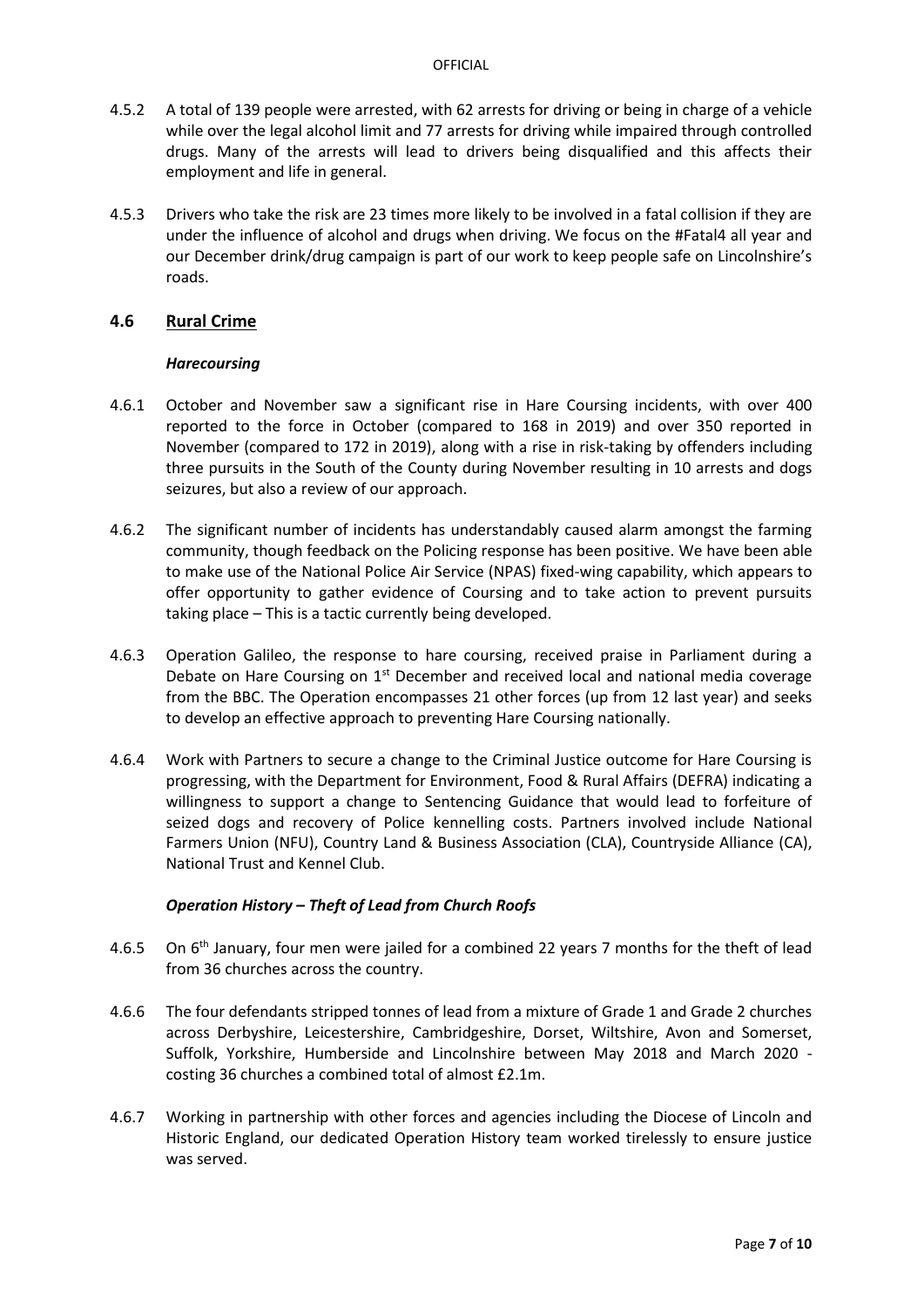- 4.5.2 A total of 139 people were arrested, with 62 arrests for driving or being in charge of a vehicle while over the legal alcohol limit and 77 arrests for driving while impaired through controlled drugs. Many of the arrests will lead to drivers being disqualified and this affects their employment and life in general.
- 4.5.3 Drivers who take the risk are 23 times more likely to be involved in a fatal collision if they are under the influence of alcohol and drugs when driving. We focus on the #Fatal4 all year and our December drink/drug campaign is part of our work to keep people safe on Lincolnshire's roads.

#### **4.6 Rural Crime**

#### *Harecoursing*

- 4.6.1 October and November saw a significant rise in Hare Coursing incidents, with over 400 reported to the force in October (compared to 168 in 2019) and over 350 reported in November (compared to 172 in 2019), along with a rise in risk-taking by offenders including three pursuits in the South of the County during November resulting in 10 arrests and dogs seizures, but also a review of our approach.
- 4.6.2 The significant number of incidents has understandably caused alarm amongst the farming community, though feedback on the Policing response has been positive. We have been able to make use of the National Police Air Service (NPAS) fixed-wing capability, which appears to offer opportunity to gather evidence of Coursing and to take action to prevent pursuits taking place – This is a tactic currently being developed.
- 4.6.3 Operation Galileo, the response to hare coursing, received praise in Parliament during a Debate on Hare Coursing on  $1<sup>st</sup>$  December and received local and national media coverage from the BBC. The Operation encompasses 21 other forces (up from 12 last year) and seeks to develop an effective approach to preventing Hare Coursing nationally.
- 4.6.4 Work with Partners to secure a change to the Criminal Justice outcome for Hare Coursing is progressing, with the Department for Environment, Food & Rural Affairs (DEFRA) indicating a willingness to support a change to Sentencing Guidance that would lead to forfeiture of seized dogs and recovery of Police kennelling costs. Partners involved include National Farmers Union (NFU), Country Land & Business Association (CLA), Countryside Alliance (CA), National Trust and Kennel Club.

#### *Operation History – Theft of Lead from Church Roofs*

- 4.6.5 On 6<sup>th</sup> January, four men were jailed for a combined 22 years 7 months for the theft of lead from 36 churches across the country.
- 4.6.6 The four defendants stripped tonnes of lead from a mixture of Grade 1 and Grade 2 churches across Derbyshire, Leicestershire, Cambridgeshire, Dorset, Wiltshire, Avon and Somerset, Suffolk, Yorkshire, Humberside and Lincolnshire between May 2018 and March 2020 costing 36 churches a combined total of almost £2.1m.
- 4.6.7 Working in partnership with other forces and agencies including the Diocese of Lincoln and Historic England, our dedicated Operation History team worked tirelessly to ensure justice was served.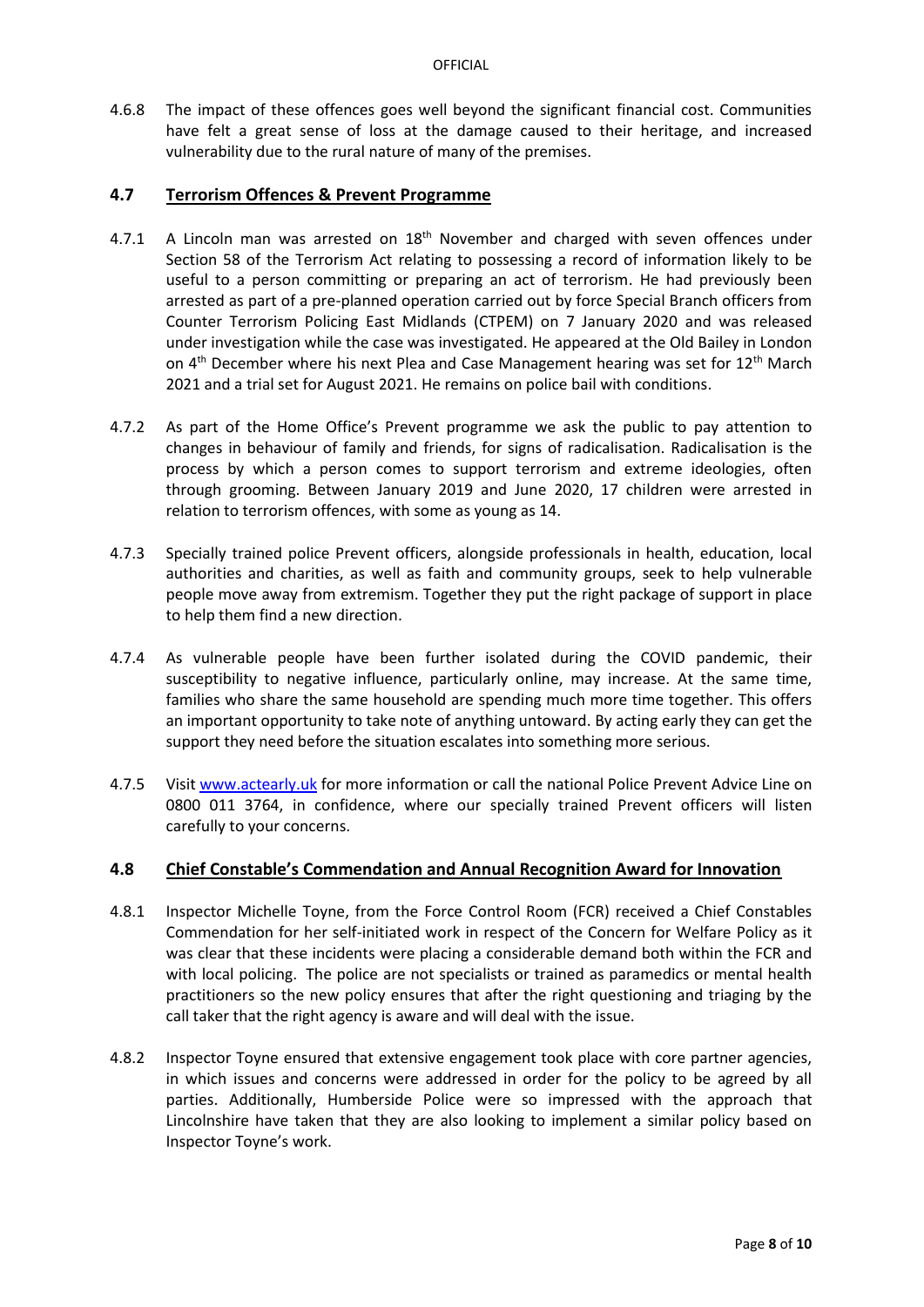4.6.8 The impact of these offences goes well beyond the significant financial cost. Communities have felt a great sense of loss at the damage caused to their heritage, and increased vulnerability due to the rural nature of many of the premises.

#### **4.7 Terrorism Offences & Prevent Programme**

- 4.7.1 A Lincoln man was arrested on  $18<sup>th</sup>$  November and charged with seven offences under Section 58 of the Terrorism Act relating to possessing a record of information likely to be useful to a person committing or preparing an act of terrorism. He had previously been arrested as part of a pre-planned operation carried out by force Special Branch officers from Counter Terrorism Policing East Midlands (CTPEM) on 7 January 2020 and was released under investigation while the case was investigated. He appeared at the Old Bailey in London on  $4<sup>th</sup>$  December where his next Plea and Case Management hearing was set for  $12<sup>th</sup>$  March 2021 and a trial set for August 2021. He remains on police bail with conditions.
- 4.7.2 As part of the Home Office's Prevent programme we ask the public to pay attention to changes in behaviour of family and friends, for signs of radicalisation. Radicalisation is the process by which a person comes to support terrorism and extreme ideologies, often through grooming. Between January 2019 and June 2020, 17 children were arrested in relation to terrorism offences, with some as young as 14.
- 4.7.3 Specially trained police Prevent officers, alongside professionals in health, education, local authorities and charities, as well as faith and community groups, seek to help vulnerable people move away from extremism. Together they put the right package of support in place to help them find a new direction.
- 4.7.4 As vulnerable people have been further isolated during the COVID pandemic, their susceptibility to negative influence, particularly online, may increase. At the same time, families who share the same household are spending much more time together. This offers an important opportunity to take note of anything untoward. By acting early they can get the support they need before the situation escalates into something more serious.
- 4.7.5 Visit [www.actearly.uk](http://www.actearly.uk/) for more information or call the national Police Prevent Advice Line on 0800 011 3764, in confidence, where our specially trained Prevent officers will listen carefully to your concerns.

## **4.8 Chief Constable's Commendation and Annual Recognition Award for Innovation**

- 4.8.1 Inspector Michelle Toyne, from the Force Control Room (FCR) received a Chief Constables Commendation for her self-initiated work in respect of the Concern for Welfare Policy as it was clear that these incidents were placing a considerable demand both within the FCR and with local policing. The police are not specialists or trained as paramedics or mental health practitioners so the new policy ensures that after the right questioning and triaging by the call taker that the right agency is aware and will deal with the issue.
- 4.8.2 Inspector Toyne ensured that extensive engagement took place with core partner agencies, in which issues and concerns were addressed in order for the policy to be agreed by all parties. Additionally, Humberside Police were so impressed with the approach that Lincolnshire have taken that they are also looking to implement a similar policy based on Inspector Toyne's work.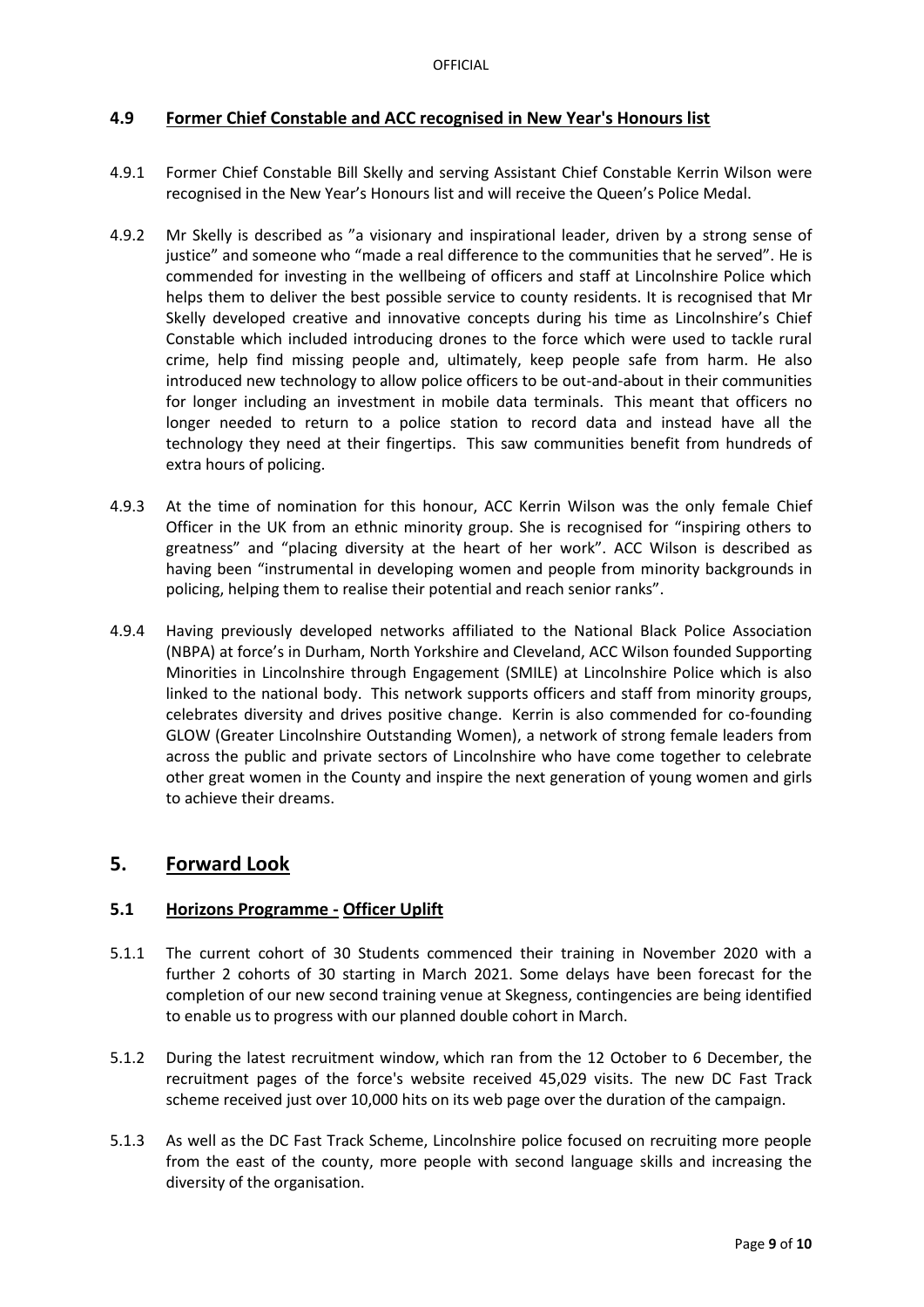### **4.9 Former Chief Constable and ACC recognised in New Year's Honours list**

- 4.9.1 Former Chief Constable Bill Skelly and serving Assistant Chief Constable Kerrin Wilson were recognised in the New Year's Honours list and will receive the Queen's Police Medal.
- 4.9.2 Mr Skelly is described as "a visionary and inspirational leader, driven by a strong sense of justice" and someone who "made a real difference to the communities that he served". He is commended for investing in the wellbeing of officers and staff at Lincolnshire Police which helps them to deliver the best possible service to county residents. It is recognised that Mr Skelly developed creative and innovative concepts during his time as Lincolnshire's Chief Constable which included introducing drones to the force which were used to tackle rural crime, help find missing people and, ultimately, keep people safe from harm. He also introduced new technology to allow police officers to be out-and-about in their communities for longer including an investment in mobile data terminals. This meant that officers no longer needed to return to a police station to record data and instead have all the technology they need at their fingertips. This saw communities benefit from hundreds of extra hours of policing.
- 4.9.3 At the time of nomination for this honour, ACC Kerrin Wilson was the only female Chief Officer in the UK from an ethnic minority group. She is recognised for "inspiring others to greatness" and "placing diversity at the heart of her work". ACC Wilson is described as having been "instrumental in developing women and people from minority backgrounds in policing, helping them to realise their potential and reach senior ranks".
- 4.9.4 Having previously developed networks affiliated to the National Black Police Association (NBPA) at force's in Durham, North Yorkshire and Cleveland, ACC Wilson founded Supporting Minorities in Lincolnshire through Engagement (SMILE) at Lincolnshire Police which is also linked to the national body. This network supports officers and staff from minority groups, celebrates diversity and drives positive change. Kerrin is also commended for co-founding GLOW (Greater Lincolnshire Outstanding Women), a network of strong female leaders from across the public and private sectors of Lincolnshire who have come together to celebrate other great women in the County and inspire the next generation of young women and girls to achieve their dreams.

# **5. Forward Look**

#### **5.1 Horizons Programme - Officer Uplift**

- 5.1.1 The current cohort of 30 Students commenced their training in November 2020 with a further 2 cohorts of 30 starting in March 2021. Some delays have been forecast for the completion of our new second training venue at Skegness, contingencies are being identified to enable us to progress with our planned double cohort in March.
- 5.1.2 During the latest recruitment window, which ran from the 12 October to 6 December, the recruitment pages of the force's website received 45,029 visits. The new DC Fast Track scheme received just over 10,000 hits on its web page over the duration of the campaign.
- 5.1.3 As well as the DC Fast Track Scheme, Lincolnshire police focused on recruiting more people from the east of the county, more people with second language skills and increasing the diversity of the organisation.